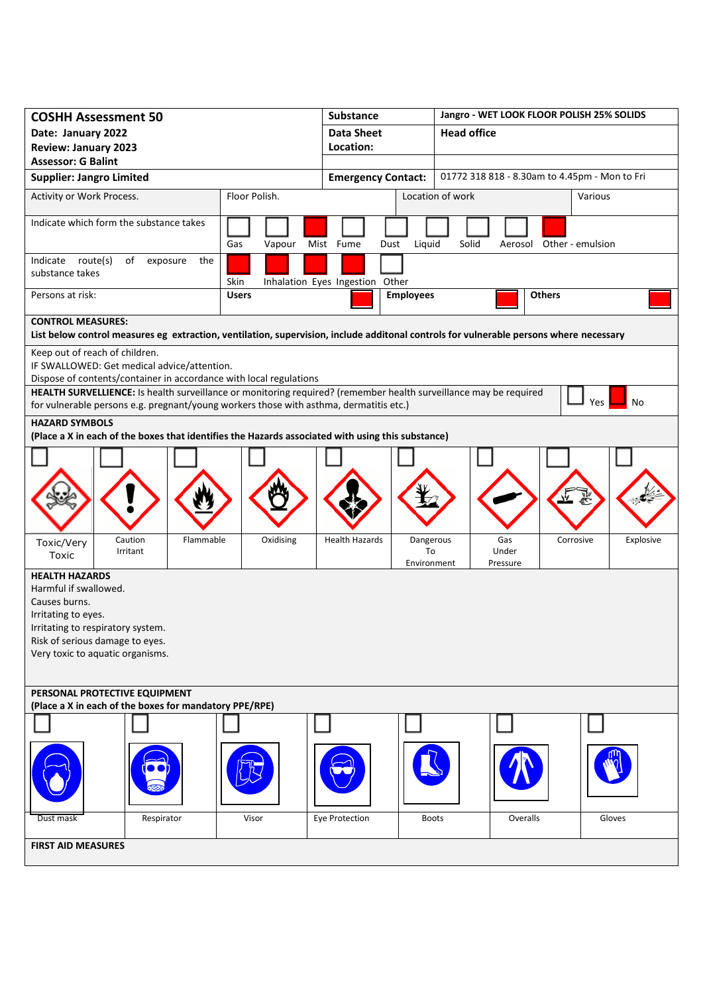| <b>COSHH Assessment 50</b>                                                                                                             |                                                | <b>Substance</b>                   | Jangro - WET LOOK FLOOR POLISH 25% SOLIDS           |               |  |
|----------------------------------------------------------------------------------------------------------------------------------------|------------------------------------------------|------------------------------------|-----------------------------------------------------|---------------|--|
| Date: January 2022                                                                                                                     |                                                | <b>Data Sheet</b>                  | <b>Head office</b>                                  |               |  |
| <b>Review: January 2023</b>                                                                                                            |                                                | Location:                          |                                                     |               |  |
| <b>Assessor: G Balint</b>                                                                                                              |                                                |                                    |                                                     |               |  |
| <b>Supplier: Jangro Limited</b>                                                                                                        |                                                | <b>Emergency Contact:</b>          | 01772 318 818 - 8.30am to 4.45pm - Mon to Fri       |               |  |
| Floor Polish.<br>Activity or Work Process.                                                                                             |                                                |                                    | Location of work<br>Various                         |               |  |
| Indicate which form the substance takes                                                                                                |                                                |                                    |                                                     |               |  |
| Gas<br>Mist Fume<br>Vapour                                                                                                             |                                                |                                    | Liquid<br>Solid<br>Aerosol Other - emulsion<br>Dust |               |  |
| Indicate route(s)<br>of exposure<br>substance takes                                                                                    | the<br>Skin<br>Inhalation Eyes Ingestion Other |                                    |                                                     |               |  |
| Persons at risk:                                                                                                                       | <b>Users</b>                                   | <b>Employees</b>                   |                                                     | <b>Others</b> |  |
| <b>CONTROL MEASURES:</b>                                                                                                               |                                                |                                    |                                                     |               |  |
| List below control measures eg extraction, ventilation, supervision, include additonal controls for vulnerable persons where necessary |                                                |                                    |                                                     |               |  |
| Keep out of reach of children.<br>IF SWALLOWED: Get medical advice/attention.                                                          |                                                |                                    |                                                     |               |  |
| Dispose of contents/container in accordance with local regulations                                                                     |                                                |                                    |                                                     |               |  |
| HEALTH SURVELLIENCE: Is health surveillance or monitoring required? (remember health surveillance may be required                      |                                                |                                    |                                                     |               |  |
| for vulnerable persons e.g. pregnant/young workers those with asthma, dermatitis etc.)                                                 |                                                |                                    |                                                     | No<br>Yes     |  |
| <b>HAZARD SYMBOLS</b><br>(Place a X in each of the boxes that identifies the Hazards associated with using this substance)             |                                                |                                    |                                                     |               |  |
|                                                                                                                                        |                                                |                                    |                                                     |               |  |
|                                                                                                                                        |                                                |                                    |                                                     |               |  |
|                                                                                                                                        |                                                |                                    |                                                     |               |  |
|                                                                                                                                        |                                                |                                    |                                                     |               |  |
|                                                                                                                                        |                                                |                                    |                                                     |               |  |
| Caution<br>Flammable<br>Toxic/Very                                                                                                     | Oxidising                                      | <b>Health Hazards</b><br>Dangerous | Gas<br>Corrosive                                    | Explosive     |  |
| Irritant<br>Toxic                                                                                                                      |                                                | To                                 | Under                                               |               |  |
| Environment<br>Pressure<br><b>HEALTH HAZARDS</b>                                                                                       |                                                |                                    |                                                     |               |  |
| Harmful if swallowed.                                                                                                                  |                                                |                                    |                                                     |               |  |
| Causes burns.                                                                                                                          |                                                |                                    |                                                     |               |  |
| Irritating to eyes.<br>Irritating to respiratory system.                                                                               |                                                |                                    |                                                     |               |  |
| Risk of serious damage to eyes.                                                                                                        |                                                |                                    |                                                     |               |  |
| Very toxic to aquatic organisms.                                                                                                       |                                                |                                    |                                                     |               |  |
|                                                                                                                                        |                                                |                                    |                                                     |               |  |
| PERSONAL PROTECTIVE EQUIPMENT                                                                                                          |                                                |                                    |                                                     |               |  |
| (Place a X in each of the boxes for mandatory PPE/RPE)                                                                                 |                                                |                                    |                                                     |               |  |
|                                                                                                                                        |                                                |                                    |                                                     |               |  |
|                                                                                                                                        |                                                |                                    |                                                     |               |  |
|                                                                                                                                        |                                                |                                    |                                                     |               |  |
|                                                                                                                                        |                                                |                                    |                                                     |               |  |
|                                                                                                                                        |                                                |                                    |                                                     |               |  |
| Respirator<br>Dust mask                                                                                                                | Visor                                          | Eye Protection                     | Overalls<br><b>Boots</b>                            | Gloves        |  |
| <b>FIRST AID MEASURES</b>                                                                                                              |                                                |                                    |                                                     |               |  |
|                                                                                                                                        |                                                |                                    |                                                     |               |  |